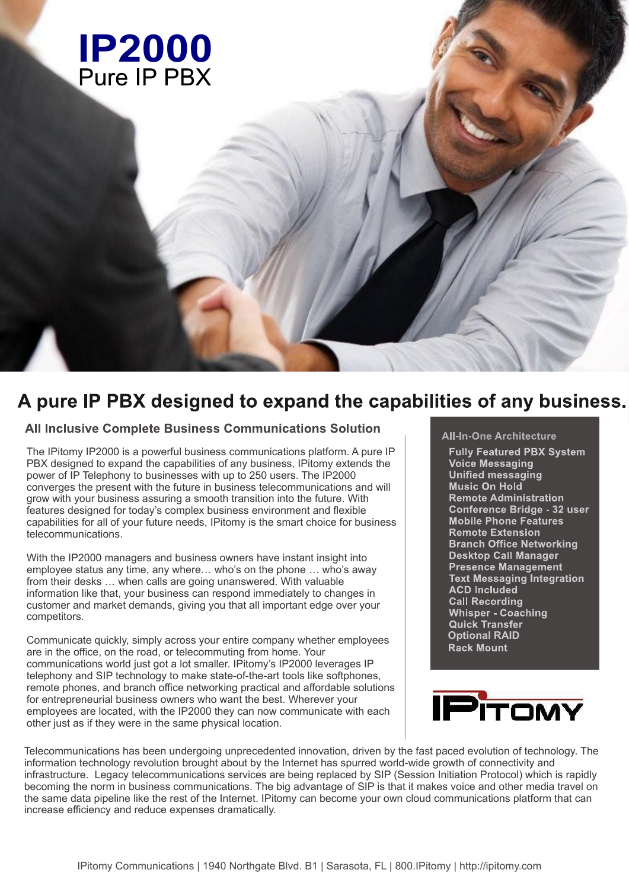

# A pure IP PBX designed to expand the capabilities of any business.

### **All Inclusive Complete Business Communications Solution**

The IPitomy IP2000 is a powerful business communications platform. A pure IP PBX designed to expand the capabilities of any business, IPitomy extends the power of IP Telephony to businesses with up to 250 users. The IP2000 converges the present with the future in business telecommunications and will grow with your business assuring a smooth transition into the future. With features designed for today's complex business environment and flexible capabilities for all of your future needs, IPitomy is the smart choice for business telecommunications.

With the IP2000 managers and business owners have instant insight into employee status any time, any where… who's on the phone … who's away from their desks … when calls are going unanswered. With valuable information like that, your business can respond immediately to changes in customer and market demands, giving you that all important edge over your competitors.

Communicate quickly, simply across your entire company whether employees are in the office, on the road, or telecommuting from home. Your communications world just got a lot smaller. IPitomy's IP2000 leverages IP telephony and SIP technology to make state-of-the-art tools like softphones, remote phones, and branch office networking practical and affordable solutions for entrepreneurial business owners who want the best. Wherever your employees are located, with the IP2000 they can now communicate with each other just as if they were in the same physical location.

### **All-In-One Architecture**

**Fully Featured PBX System Voice Messaging Unified messaging Music On Hold Remote Administration Conference Bridge - 32 user Mobile Phone Features** Remote Extension **Branch Office Networking Desktop Call Manager Presence Management Text Messaging Integration ACD Included Call Recording Whisper - Coaching Quick Transfer Optional RAID**



Telecommunications has been undergoing unprecedented innovation, driven by the fast paced evolution of technology. The information technology revolution brought about by the Internet has spurred world-wide growth of connectivity and infrastructure. Legacy telecommunications services are being replaced by SIP (Session Initiation Protocol) which is rapidly becoming the norm in business communications. The big advantage of SIP is that it makes voice and other media travel on the same data pipeline like the rest of the Internet. IPitomy can become your own cloud communications platform that can increase efficiency and reduce expenses dramatically.